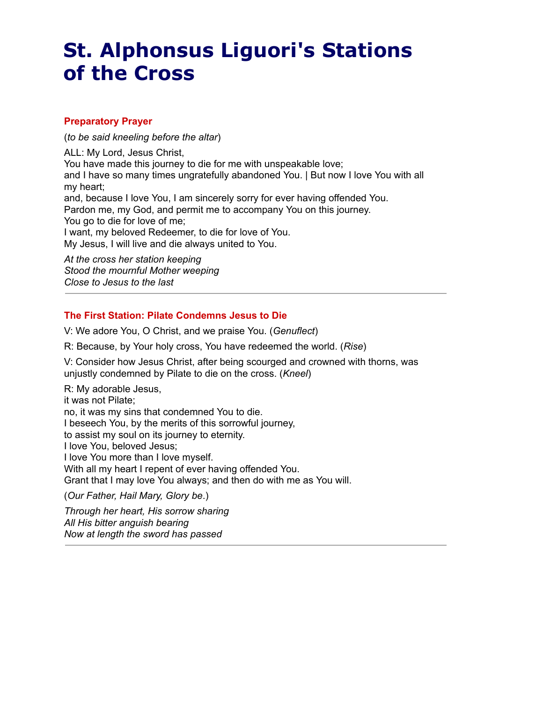# **St. Alphonsus Liguori's Stations of the Cross**

## **Preparatory Prayer**

(*to be said kneeling before the altar*)

ALL: My Lord, Jesus Christ, You have made this journey to die for me with unspeakable love; and I have so many times ungratefully abandoned You. | But now I love You with all my heart; and, because I love You, I am sincerely sorry for ever having offended You. Pardon me, my God, and permit me to accompany You on this journey. You go to die for love of me; I want, my beloved Redeemer, to die for love of You. My Jesus, I will live and die always united to You. *At the cross her station keeping Stood the mournful Mother weeping*

*Close to Jesus to the last*

## **The First Station: Pilate Condemns Jesus to Die**

V: We adore You, O Christ, and we praise You. (*Genuflect*)

R: Because, by Your holy cross, You have redeemed the world. (*Rise*)

V: Consider how Jesus Christ, after being scourged and crowned with thorns, was unjustly condemned by Pilate to die on the cross. (*Kneel*)

R: My adorable Jesus, it was not Pilate; no, it was my sins that condemned You to die. I beseech You, by the merits of this sorrowful journey, to assist my soul on its journey to eternity. I love You, beloved Jesus; I love You more than I love myself. With all my heart I repent of ever having offended You. Grant that I may love You always; and then do with me as You will.

(*Our Father, Hail Mary, Glory be*.)

*Through her heart, His sorrow sharing All His bitter anguish bearing Now at length the sword has passed*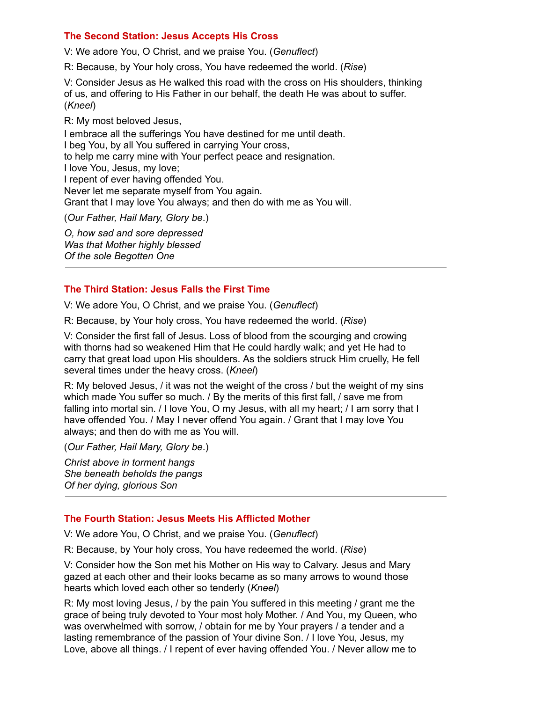## **The Second Station: Jesus Accepts His Cross**

V: We adore You, O Christ, and we praise You. (*Genuflect*)

R: Because, by Your holy cross, You have redeemed the world. (*Rise*)

V: Consider Jesus as He walked this road with the cross on His shoulders, thinking of us, and offering to His Father in our behalf, the death He was about to suffer. (*Kneel*)

R: My most beloved Jesus,

I embrace all the sufferings You have destined for me until death. I beg You, by all You suffered in carrying Your cross, to help me carry mine with Your perfect peace and resignation. I love You, Jesus, my love; I repent of ever having offended You. Never let me separate myself from You again. Grant that I may love You always; and then do with me as You will.

(*Our Father, Hail Mary, Glory be*.)

*O, how sad and sore depressed Was that Mother highly blessed Of the sole Begotten One*

# **The Third Station: Jesus Falls the First Time**

V: We adore You, O Christ, and we praise You. (*Genuflect*)

R: Because, by Your holy cross, You have redeemed the world. (*Rise*)

V: Consider the first fall of Jesus. Loss of blood from the scourging and crowing with thorns had so weakened Him that He could hardly walk; and yet He had to carry that great load upon His shoulders. As the soldiers struck Him cruelly, He fell several times under the heavy cross. (*Kneel*)

R: My beloved Jesus, / it was not the weight of the cross / but the weight of my sins which made You suffer so much. / By the merits of this first fall, / save me from falling into mortal sin. / I love You, O my Jesus, with all my heart; / I am sorry that I have offended You. / May I never offend You again. / Grant that I may love You always; and then do with me as You will.

(*Our Father, Hail Mary, Glory be*.)

*Christ above in torment hangs She beneath beholds the pangs Of her dying, glorious Son*

#### **The Fourth Station: Jesus Meets His Afflicted Mother**

V: We adore You, O Christ, and we praise You. (*Genuflect*)

R: Because, by Your holy cross, You have redeemed the world. (*Rise*)

V: Consider how the Son met his Mother on His way to Calvary. Jesus and Mary gazed at each other and their looks became as so many arrows to wound those hearts which loved each other so tenderly (*Kneel*)

R: My most loving Jesus, / by the pain You suffered in this meeting / grant me the grace of being truly devoted to Your most holy Mother. / And You, my Queen, who was overwhelmed with sorrow, / obtain for me by Your prayers / a tender and a lasting remembrance of the passion of Your divine Son. / I love You, Jesus, my Love, above all things. / I repent of ever having offended You. / Never allow me to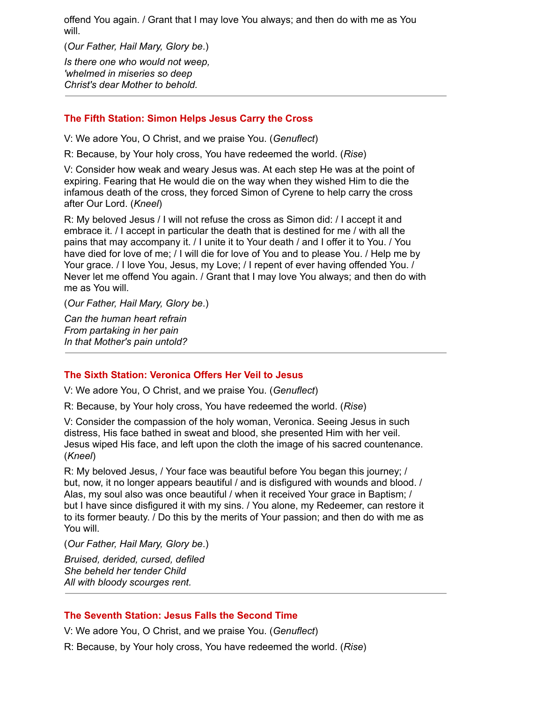offend You again. / Grant that I may love You always; and then do with me as You will.

(*Our Father, Hail Mary, Glory be*.)

*Is there one who would not weep, 'whelmed in miseries so deep Christ's dear Mother to behold.*

## **The Fifth Station: Simon Helps Jesus Carry the Cross**

V: We adore You, O Christ, and we praise You. (*Genuflect*)

R: Because, by Your holy cross, You have redeemed the world. (*Rise*)

V: Consider how weak and weary Jesus was. At each step He was at the point of expiring. Fearing that He would die on the way when they wished Him to die the infamous death of the cross, they forced Simon of Cyrene to help carry the cross after Our Lord. (*Kneel*)

R: My beloved Jesus / I will not refuse the cross as Simon did: / I accept it and embrace it. / I accept in particular the death that is destined for me / with all the pains that may accompany it. / I unite it to Your death / and I offer it to You. / You have died for love of me; / I will die for love of You and to please You. / Help me by Your grace. / I love You, Jesus, my Love; / I repent of ever having offended You. / Never let me offend You again. / Grant that I may love You always; and then do with me as You will.

(*Our Father, Hail Mary, Glory be*.)

*Can the human heart refrain From partaking in her pain In that Mother's pain untold?*

## **The Sixth Station: Veronica Offers Her Veil to Jesus**

V: We adore You, O Christ, and we praise You. (*Genuflect*)

R: Because, by Your holy cross, You have redeemed the world. (*Rise*)

V: Consider the compassion of the holy woman, Veronica. Seeing Jesus in such distress, His face bathed in sweat and blood, she presented Him with her veil. Jesus wiped His face, and left upon the cloth the image of his sacred countenance. (*Kneel*)

R: My beloved Jesus, / Your face was beautiful before You began this journey; / but, now, it no longer appears beautiful / and is disfigured with wounds and blood. / Alas, my soul also was once beautiful / when it received Your grace in Baptism; / but I have since disfigured it with my sins. / You alone, my Redeemer, can restore it to its former beauty. / Do this by the merits of Your passion; and then do with me as You will.

(*Our Father, Hail Mary, Glory be*.) *Bruised, derided, cursed, defiled She beheld her tender Child All with bloody scourges rent.*

#### **The Seventh Station: Jesus Falls the Second Time**

V: We adore You, O Christ, and we praise You. (*Genuflect*)

R: Because, by Your holy cross, You have redeemed the world. (*Rise*)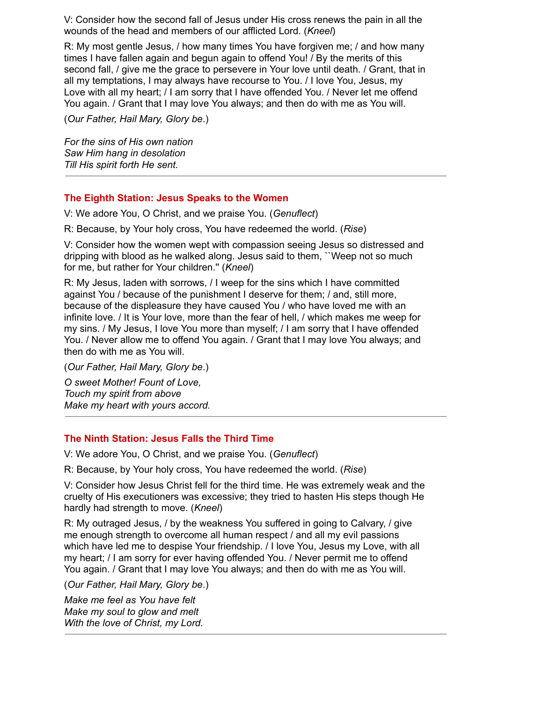V: Consider how the second fall of Jesus under His cross renews the pain in all the wounds of the head and members of our afflicted Lord. (*Kneel*)

R: My most gentle Jesus, / how many times You have forgiven me; / and how many times I have fallen again and begun again to offend You! / By the merits of this second fall, / give me the grace to persevere in Your love until death. / Grant, that in all my temptations, I may always have recourse to You. / I love You, Jesus, my Love with all my heart; / I am sorry that I have offended You. / Never let me offend You again. / Grant that I may love You always; and then do with me as You will.

(*Our Father, Hail Mary, Glory be*.)

*For the sins of His own nation Saw Him hang in desolation Till His spirit forth He sent.*

#### **The Eighth Station: Jesus Speaks to the Women**

V: We adore You, O Christ, and we praise You. (*Genuflect*)

R: Because, by Your holy cross, You have redeemed the world. (*Rise*)

V: Consider how the women wept with compassion seeing Jesus so distressed and dripping with blood as he walked along. Jesus said to them, ``Weep not so much for me, but rather for Your children.'' (*Kneel*)

R: My Jesus, laden with sorrows, / I weep for the sins which I have committed against You / because of the punishment I deserve for them; / and, still more, because of the displeasure they have caused You / who have loved me with an infinite love. / It is Your love, more than the fear of hell, / which makes me weep for my sins. / My Jesus, I love You more than myself; / I am sorry that I have offended You. / Never allow me to offend You again. / Grant that I may love You always; and then do with me as You will.

(*Our Father, Hail Mary, Glory be*.) *O sweet Mother! Fount of Love, Touch my spirit from above Make my heart with yours accord.*

## **The Ninth Station: Jesus Falls the Third Time**

V: We adore You, O Christ, and we praise You. (*Genuflect*)

R: Because, by Your holy cross, You have redeemed the world. (*Rise*)

V: Consider how Jesus Christ fell for the third time. He was extremely weak and the cruelty of His executioners was excessive; they tried to hasten His steps though He hardly had strength to move. (*Kneel*)

R: My outraged Jesus, / by the weakness You suffered in going to Calvary, / give me enough strength to overcome all human respect / and all my evil passions which have led me to despise Your friendship. / I love You, Jesus my Love, with all my heart; / I am sorry for ever having offended You. / Never permit me to offend You again. / Grant that I may love You always; and then do with me as You will.

(*Our Father, Hail Mary, Glory be*.)

*Make me feel as You have felt Make my soul to glow and melt With the love of Christ, my Lord.*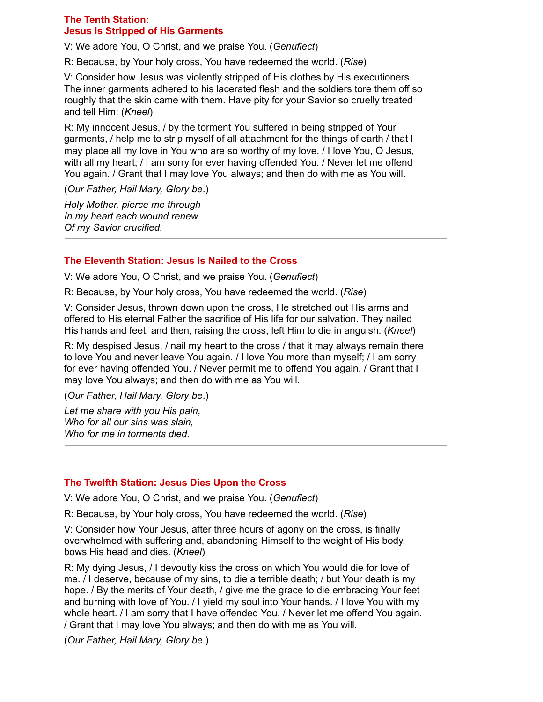#### **The Tenth Station: Jesus Is Stripped of His Garments**

V: We adore You, O Christ, and we praise You. (*Genuflect*)

R: Because, by Your holy cross, You have redeemed the world. (*Rise*)

V: Consider how Jesus was violently stripped of His clothes by His executioners. The inner garments adhered to his lacerated flesh and the soldiers tore them off so roughly that the skin came with them. Have pity for your Savior so cruelly treated and tell Him: (*Kneel*)

R: My innocent Jesus, / by the torment You suffered in being stripped of Your garments, / help me to strip myself of all attachment for the things of earth / that I may place all my love in You who are so worthy of my love. / I love You, O Jesus, with all my heart; / I am sorry for ever having offended You. / Never let me offend You again. / Grant that I may love You always; and then do with me as You will.

(*Our Father, Hail Mary, Glory be*.)

*Holy Mother, pierce me through In my heart each wound renew Of my Savior crucified.*

#### **The Eleventh Station: Jesus Is Nailed to the Cross**

V: We adore You, O Christ, and we praise You. (*Genuflect*)

R: Because, by Your holy cross, You have redeemed the world. (*Rise*)

V: Consider Jesus, thrown down upon the cross, He stretched out His arms and offered to His eternal Father the sacrifice of His life for our salvation. They nailed His hands and feet, and then, raising the cross, left Him to die in anguish. (*Kneel*)

R: My despised Jesus, / nail my heart to the cross / that it may always remain there to love You and never leave You again. / I love You more than myself; / I am sorry for ever having offended You. / Never permit me to offend You again. / Grant that I may love You always; and then do with me as You will.

(*Our Father, Hail Mary, Glory be*.)

*Let me share with you His pain, Who for all our sins was slain, Who for me in torments died.*

#### **The Twelfth Station: Jesus Dies Upon the Cross**

V: We adore You, O Christ, and we praise You. (*Genuflect*)

R: Because, by Your holy cross, You have redeemed the world. (*Rise*)

V: Consider how Your Jesus, after three hours of agony on the cross, is finally overwhelmed with suffering and, abandoning Himself to the weight of His body, bows His head and dies. (*Kneel*)

R: My dying Jesus, / I devoutly kiss the cross on which You would die for love of me. / I deserve, because of my sins, to die a terrible death; / but Your death is my hope. / By the merits of Your death, / give me the grace to die embracing Your feet and burning with love of You. / I yield my soul into Your hands. / I love You with my whole heart. / I am sorry that I have offended You. / Never let me offend You again. / Grant that I may love You always; and then do with me as You will.

(*Our Father, Hail Mary, Glory be*.)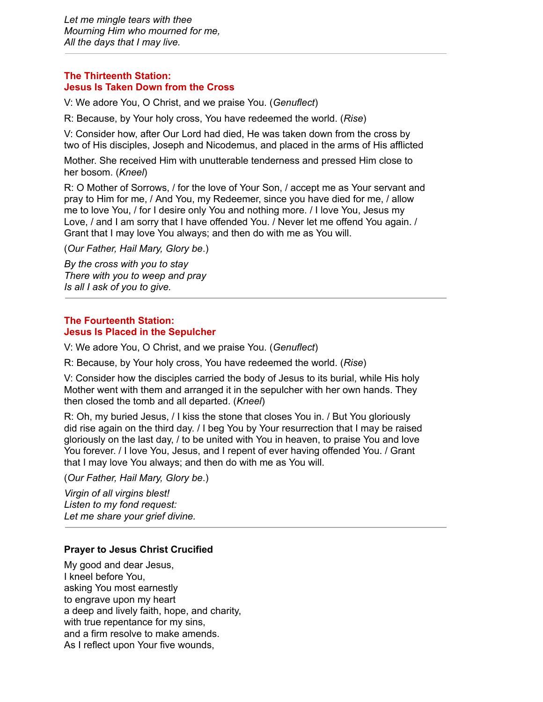## **The Thirteenth Station: Jesus Is Taken Down from the Cross**

V: We adore You, O Christ, and we praise You. (*Genuflect*)

R: Because, by Your holy cross, You have redeemed the world. (*Rise*)

V: Consider how, after Our Lord had died, He was taken down from the cross by two of His disciples, Joseph and Nicodemus, and placed in the arms of His afflicted

Mother. She received Him with unutterable tenderness and pressed Him close to her bosom. (*Kneel*)

R: O Mother of Sorrows, / for the love of Your Son, / accept me as Your servant and pray to Him for me, / And You, my Redeemer, since you have died for me, / allow me to love You, / for I desire only You and nothing more. / I love You, Jesus my Love, / and I am sorry that I have offended You. / Never let me offend You again. / Grant that I may love You always; and then do with me as You will.

(*Our Father, Hail Mary, Glory be*.)

*By the cross with you to stay There with you to weep and pray Is all I ask of you to give.*

#### **The Fourteenth Station: Jesus Is Placed in the Sepulcher**

V: We adore You, O Christ, and we praise You. (*Genuflect*)

R: Because, by Your holy cross, You have redeemed the world. (*Rise*)

V: Consider how the disciples carried the body of Jesus to its burial, while His holy Mother went with them and arranged it in the sepulcher with her own hands. They then closed the tomb and all departed. (*Kneel*)

R: Oh, my buried Jesus, / I kiss the stone that closes You in. / But You gloriously did rise again on the third day. / I beg You by Your resurrection that I may be raised gloriously on the last day, / to be united with You in heaven, to praise You and love You forever. / I love You, Jesus, and I repent of ever having offended You. / Grant that I may love You always; and then do with me as You will.

(*Our Father, Hail Mary, Glory be*.)

*Virgin of all virgins blest! Listen to my fond request: Let me share your grief divine.*

#### **Prayer to Jesus Christ Crucified**

My good and dear Jesus, I kneel before You, asking You most earnestly to engrave upon my heart a deep and lively faith, hope, and charity, with true repentance for my sins, and a firm resolve to make amends. As I reflect upon Your five wounds,